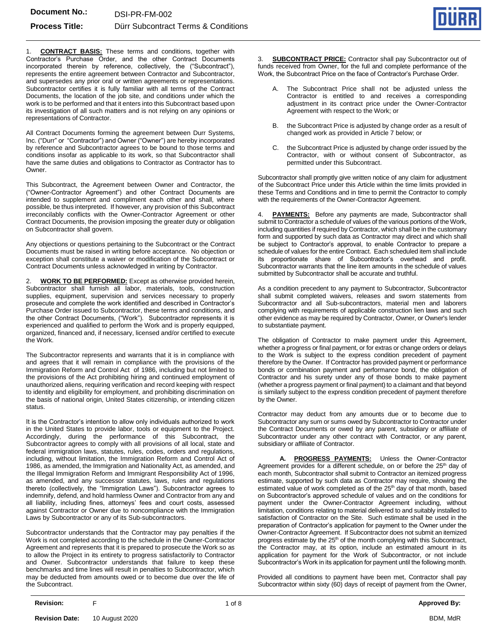

1. **CONTRACT BASIS:** These terms and conditions, together with Contractor's Purchase Order, and the other Contract Documents incorporated therein by reference, collectively, the ("Subcontract"), represents the entire agreement between Contractor and Subcontractor, and supersedes any prior oral or written agreements or representations. Subcontractor certifies it is fully familiar with all terms of the Contract Documents, the location of the job site, and conditions under which the work is to be performed and that it enters into this Subcontract based upon its investigation of all such matters and is not relying on any opinions or representations of Contractor.

All Contract Documents forming the agreement between Durr Systems, Inc. ("Durr" or "Contractor") and Owner ("Owner") are hereby incorporated by reference and Subcontractor agrees to be bound to those terms and conditions insofar as applicable to its work, so that Subcontractor shall have the same duties and obligations to Contractor as Contractor has to Owner.

This Subcontract, the Agreement between Owner and Contractor, the ("Owner-Contractor Agreement") and other Contract Documents are intended to supplement and compliment each other and shall, where possible, be thus interpreted. If however, any provision of this Subcontract irreconcilably conflicts with the Owner-Contractor Agreement or other Contract Documents, the provision imposing the greater duty or obligation on Subcontractor shall govern.

Any objections or questions pertaining to the Subcontract or the Contract Documents must be raised in writing before acceptance. No objection or exception shall constitute a waiver or modification of the Subcontract or Contract Documents unless acknowledged in writing by Contractor.

2. **WORK TO BE PERFORMED:** Except as otherwise provided herein, Subcontractor shall furnish all labor, materials, tools, construction supplies, equipment, supervision and services necessary to properly prosecute and complete the work identified and described in Contractor's Purchase Order issued to Subcontractor, these terms and conditions, and the other Contract Documents, ("Work"). Subcontractor represents it is experienced and qualified to perform the Work and is properly equipped, organized, financed and, if necessary, licensed and/or certified to execute the Work.

The Subcontractor represents and warrants that it is in compliance with and agrees that it will remain in compliance with the provisions of the Immigration Reform and Control Act of 1986, including but not limited to the provisions of the Act prohibiting hiring and continued employment of unauthorized aliens, requiring verification and record keeping with respect to identity and eligibility for employment, and prohibiting discrimination on the basis of national origin, United States citizenship, or intending citizen status.

It is the Contractor's intention to allow only individuals authorized to work in the United States to provide labor, tools or equipment to the Project. Accordingly, during the performance of this Subcontract, the Subcontractor agrees to comply with all provisions of all local, state and federal immigration laws, statutes, rules, codes, orders and regulations, including, without limitation, the Immigration Reform and Control Act of 1986, as amended, the Immigration and Nationality Act, as amended, and the Illegal Immigration Reform and Immigrant Responsibility Act of 1996, as amended, and any successor statutes, laws, rules and regulations thereto (collectively, the "Immigration Laws"). Subcontractor agrees to indemnify, defend, and hold harmless Owner and Contractor from any and all liability, including fines, attorneys' fees and court costs, assessed against Contractor or Owner due to noncompliance with the Immigration Laws by Subcontractor or any of its Sub-subcontractors.

Subcontractor understands that the Contractor may pay penalties if the Work is not completed according to the schedule in the Owner-Contractor Agreement and represents that it is prepared to prosecute the Work so as to allow the Project in its entirety to progress satisfactorily to Contractor and Owner. Subcontractor understands that failure to keep these benchmarks and time lines will result in penalties to Subcontractor, which may be deducted from amounts owed or to become due over the life of the Subcontract.

3. **SUBCONTRACT PRICE:** Contractor shall pay Subcontractor out of funds received from Owner, for the full and complete performance of the Work, the Subcontract Price on the face of Contractor's Purchase Order.

- A. The Subcontract Price shall not be adjusted unless the Contractor is entitled to and receives a corresponding adjustment in its contract price under the Owner-Contractor Agreement with respect to the Work; or
- the Subcontract Price is adjusted by change order as a result of changed work as provided in Article 7 below; or
- C. the Subcontract Price is adjusted by change order issued by the Contractor, with or without consent of Subcontractor, as permitted under this Subcontract.

Subcontractor shall promptly give written notice of any claim for adjustment of the Subcontract Price under this Article within the time limits provided in these Terms and Conditions and in time to permit the Contractor to comply with the requirements of the Owner-Contractor Agreement.

**PAYMENTS:** Before any payments are made, Subcontractor shall submit to Contractor a schedule of values of the various portions of the Work, including quantities if required by Contractor, which shall be in the customary form and supported by such data as Contractor may direct and which shall be subject to Contractor's approval, to enable Contractor to prepare a schedule of values for the entire Contract. Each scheduled item shall include its proportionate share of Subcontractor's overhead and profit. Subcontractor warrants that the line item amounts in the schedule of values submitted by Subcontractor shall be accurate and truthful.

As a condition precedent to any payment to Subcontractor, Subcontractor shall submit completed waivers, releases and sworn statements from Subcontractor and all Sub-subcontractors, material men and laborers complying with requirements of applicable construction lien laws and such other evidence as may be required by Contractor, Owner, or Owner's lender to substantiate payment.

The obligation of Contractor to make payment under this Agreement, whether a progress or final payment, or for extras or change orders or delays to the Work is subject to the express condition precedent of payment therefore by the Owner. If Contractor has provided payment or performance bonds or combination payment and performance bond, the obligation of Contractor and his surety under any of those bonds to make payment (whether a progress payment or final payment) to a claimant and that beyond is similarly subject to the express condition precedent of payment therefore by the Owner.

Contractor may deduct from any amounts due or to become due to Subcontractor any sum or sums owed by Subcontractor to Contractor under the Contract Documents or owed by any parent, subsidiary or affiliate of Subcontractor under any other contract with Contractor, or any parent, subsidiary or affiliate of Contractor.

**A. PROGRESS PAYMENTS:** Unless the Owner-Contractor Agreement provides for a different schedule, on or before the 25<sup>th</sup> day of each month, Subcontractor shall submit to Contractor an itemized progress estimate, supported by such data as Contractor may require, showing the estimated value of work completed as of the 25<sup>th</sup> day of that month, based on Subcontractor's approved schedule of values and on the conditions for payment under the Owner-Contractor Agreement including, without limitation, conditions relating to material delivered to and suitably installed to satisfaction of Contractor on the Site. Such estimate shall be used in the preparation of Contractor's application for payment to the Owner under the Owner-Contractor Agreement. If Subcontractor does not submit an itemized progress estimate by the 25<sup>th</sup> of the month complying with this Subcontract, the Contractor may, at its option, include an estimated amount in its application for payment for the Work of Subcontractor, or not include Subcontractor's Work in its application for payment until the following month.

Provided all conditions to payment have been met, Contractor shall pay Subcontractor within sixty (60) days of receipt of payment from the Owner,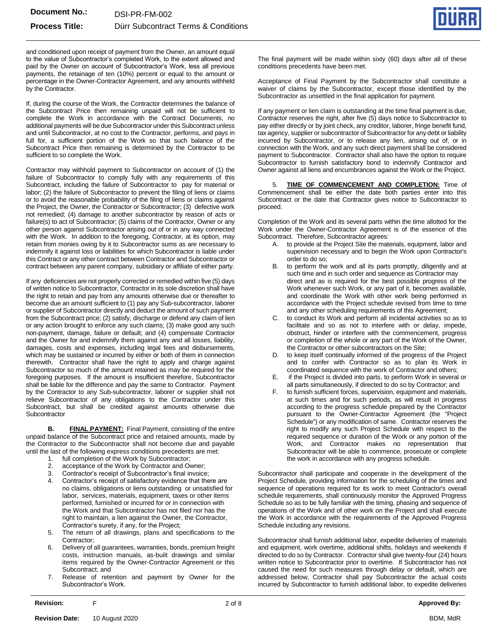

and conditioned upon receipt of payment from the Owner, an amount equal to the value of Subcontractor's completed Work, to the extent allowed and paid by the Owner on account of Subcontractor's Work, less all previous payments, the retainage of ten (10%) percent or equal to the amount or percentage in the Owner-Contractor Agreement, and any amounts withheld by the Contractor.

If, during the course of the Work, the Contractor determines the balance of the Subcontract Price then remaining unpaid will not be sufficient to complete the Work in accordance with the Contract Documents, no additional payments will be due Subcontractor under this Subcontract unless and until Subcontractor, at no cost to the Contractor, performs, and pays in full for, a sufficient portion of the Work so that such balance of the Subcontract Price then remaining is determined by the Contractor to be sufficient to so complete the Work.

Contractor may withhold payment to Subcontractor on account of (1) the failure of Subcontractor to comply fully with any requirements of this Subcontract, including the failure of Subcontractor to pay for material or labor; (2) the failure of Subcontractor to prevent the filing of liens or claims or to avoid the reasonable probability of the filing of liens or claims against the Project, the Owner, the Contractor or Subcontractor; (3) defective work not remedied; (4) damage to another subcontractor by reason of acts or failure(s) to act of Subcontractor; (5) claims of the Contractor, Owner or any other person against Subcontractor arising out of or in any way connected with the Work. In addition to the foregoing, Contractor, at its option, may retain from monies owing by it to Subcontractor sums as are necessary to indemnify it against loss or liabilities for which Subcontractor is liable under this Contract or any other contract between Contractor and Subcontractor or contract between any parent company, subsidiary or affiliate of either party.

If any deficiencies are not properly corrected or remedied within five (5) days of written notice to Subcontractor, Contractor in its sole discretion shall have the right to retain and pay from any amounts otherwise due or thereafter to become due an amount sufficient to (1) pay any Sub-subcontractor, laborer or supplier of Subcontractor directly and deduct the amount of such payment from the Subcontract price; (2) satisfy, discharge or defend any claim of lien or any action brought to enforce any such claims; (3) make good any such non-payment, damage, failure or default; and (4) compensate Contractor and the Owner for and indemnify them against any and all losses, liability, damages, costs and expenses, including legal fees and disbursements, which may be sustained or incurred by either or both of them in connection therewith. Contractor shall have the right to apply and charge against Subcontractor so much of the amount retained as may be required for the foregoing purposes. If the amount is insufficient therefore, Subcontractor shall be liable for the difference and pay the same to Contractor. Payment by the Contractor to any Sub-subcontractor, laborer or supplier shall not relieve Subcontractor of any obligations to the Contractor under this Subcontract, but shall be credited against amounts otherwise due **Subcontractor** 

**B. FINAL PAYMENT:** Final Payment, consisting of the entire unpaid balance of the Subcontract price and retained amounts, made by the Contractor to the Subcontractor shall not become due and payable until the last of the following express conditions precedents are met:

- 1. full completion of the Work by Subcontractor;<br>2. acceptance of the Work by Contractor and O
- acceptance of the Work by Contractor and Owner;
- 3. Contractor's receipt of Subcontractor's final invoice;
- 4. Contractor's receipt of satisfactory evidence that there are no claims, obligations or liens outstanding or unsatisfied for labor, services, materials, equipment, taxes or other items performed, furnished or incurred for or in connection with the Work and that Subcontractor has not filed nor has the right to maintain, a lien against the Owner, the Contractor, Contractor's surety, if any, for the Project;
- 5. The return of all drawings, plans and specifications to the Contractor;
- 6. Delivery of all guarantees, warranties, bonds, premium freight costs, instruction manuals, as-built drawings and similar items required by the Owner-Contractor Agreement or this Subcontract; and
- 7. Release of retention and payment by Owner for the Subcontractor's Work.

The final payment will be made within sixty (60) days after all of these conditions precedents have been met.

Acceptance of Final Payment by the Subcontractor shall constitute a waiver of claims by the Subcontractor, except those identified by the Subcontractor as unsettled in the final application for payment.

If any payment or lien claim is outstanding at the time final payment is due, Contractor reserves the right, after five (5) days notice to Subcontractor to pay either directly or by joint check, any creditor, laborer, fringe benefit fund, tax agency, supplier or subcontractor of Subcontractor for any debt or liability incurred by Subcontractor, or to release any lien, arising out of, or in connection with the Work, and any such direct payment shall be considered payment to Subcontractor. Contractor shall also have the option to require Subcontractor to furnish satisfactory bond to indemnify Contractor and Owner against all liens and encumbrances against the Work or the Project.

5. **TIME OF COMMENCEMENT AND COMPLETION:** Time of Commencement shall be either the date both parties enter into this Subcontract or the date that Contractor gives notice to Subcontractor to proceed.

Completion of the Work and its several parts within the time allotted for the Work under the Owner-Contractor Agreement is of the essence of this Subcontract. Therefore, Subcontractor agrees:

- A. to provide at the Project Site the materials, equipment, labor and supervision necessary and to begin the Work upon Contractor's order to do so;
- B. to perform the work and all its parts promptly, diligently and at such time and in such order and sequence as Contractor may direct and as is required for the best possible progress of the Work whenever such Work, or any part of it, becomes available, and coordinate the Work with other work being performed in accordance with the Project schedule revised from time to time and any other scheduling requirements of this Agreement;
- C. to conduct its Work and perform all incidental activities so as to facilitate and so as not to interfere with or delay, impede, obstruct, hinder or interfere with the commencement, progress or completion of the whole or any part of the Work of the Owner, the Contractor or other subcontractors on the Site;
- to keep itself continually informed of the progress of the Project and to confer with Contractor so as to plan its Work in coordinated sequence with the work of Contractor and others;
- E. if the Project is divided into parts, to perform Work in several or all parts simultaneously, if directed to do so by Contractor; and
- F. to furnish sufficient forces, supervision, equipment and materials, at such times and for such periods, as will result in progress according to the progress schedule prepared by the Contractor pursuant to the Owner-Contractor Agreement (the "Project Schedule") or any modification of same. Contractor reserves the right to modify any such Project Schedule with respect to the required sequence or duration of the Work or any portion of the Work, and Contractor makes no representation that Subcontractor will be able to commence, prosecute or complete the work in accordance with any progress schedule.

Subcontractor shall participate and cooperate in the development of the Project Schedule, providing information for the scheduling of the times and sequence of operations required for its work to meet Contractor's overall schedule requirements, shall continuously monitor the Approved Progress Schedule so as to be fully familiar with the timing, phasing and sequence of operations of the Work and of other work on the Project and shall execute the Work in accordance with the requirements of the Approved Progress Schedule including any revisions.

Subcontractor shall furnish additional labor, expedite deliveries of materials and equipment, work overtime, additional shifts, holidays and weekends if directed to do so by Contractor. Contractor shall give twenty-four (24) hours written notice to Subcontractor prior to overtime. If Subcontractor has not caused the need for such measures through delay or default, which are addressed below, Contractor shall pay Subcontractor the actual costs incurred by Subcontractor to furnish additional labor, to expedite deliveries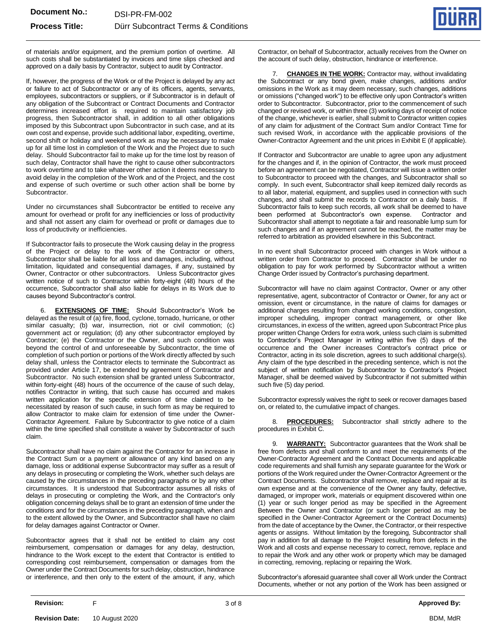

of materials and/or equipment, and the premium portion of overtime. All such costs shall be substantiated by invoices and time slips checked and approved on a daily basis by Contractor, subject to audit by Contractor.

If, however, the progress of the Work or of the Project is delayed by any act or failure to act of Subcontractor or any of its officers, agents, servants, employees, subcontractors or suppliers, or if Subcontractor is in default of any obligation of the Subcontract or Contract Documents and Contractor determines increased effort is required to maintain satisfactory job progress, then Subcontractor shall, in addition to all other obligations imposed by this Subcontract upon Subcontractor in such case, and at its own cost and expense, provide such additional labor, expediting, overtime, second shift or holiday and weekend work as may be necessary to make up for all time lost in completion of the Work and the Project due to such delay. Should Subcontractor fail to make up for the time lost by reason of such delay, Contractor shall have the right to cause other subcontractors to work overtime and to take whatever other action it deems necessary to avoid delay in the completion of the Work and of the Project, and the cost and expense of such overtime or such other action shall be borne by Subcontractor.

Under no circumstances shall Subcontractor be entitled to receive any amount for overhead or profit for any inefficiencies or loss of productivity and shall not assert any claim for overhead or profit or damages due to loss of productivity or inefficiencies.

If Subcontractor fails to prosecute the Work causing delay in the progress of the Project or delay to the work of the Contractor or others, Subcontractor shall be liable for all loss and damages, including, without limitation, liquidated and consequential damages, if any, sustained by Owner, Contractor or other subcontractors. Unless Subcontractor gives written notice of such to Contractor within forty-eight (48) hours of the occurrence, Subcontractor shall also liable for delays in its Work due to causes beyond Subcontractor's control.

6. **EXTENSIONS OF TIME:** Should Subcontractor's Work be delayed as the result of (a) fire, flood, cyclone, tornado, hurricane, or other similar casualty; (b) war, insurrection, riot or civil commotion; (c) government act or regulation; (d) any other subcontractor employed by Contractor; (e) the Contractor or the Owner, and such condition was beyond the control of and unforeseeable by Subcontractor, the time of completion of such portion or portions of the Work directly affected by such delay shall, unless the Contractor elects to terminate the Subcontract as provided under Article 17, be extended by agreement of Contractor and Subcontractor. No such extension shall be granted unless Subcontractor, within forty-eight (48) hours of the occurrence of the cause of such delay, notifies Contractor in writing, that such cause has occurred and makes written application for the specific extension of time claimed to be necessitated by reason of such cause, in such form as may be required to allow Contractor to make claim for extension of time under the Owner-Contractor Agreement. Failure by Subcontractor to give notice of a claim within the time specified shall constitute a waiver by Subcontractor of such claim.

Subcontractor shall have no claim against the Contractor for an increase in the Contract Sum or a payment or allowance of any kind based on any damage, loss or additional expense Subcontractor may suffer as a result of any delays in prosecuting or completing the Work, whether such delays are caused by the circumstances in the preceding paragraphs or by any other circumstances. It is understood that Subcontractor assumes all risks of delays in prosecuting or completing the Work, and the Contractor's only obligation concerning delays shall be to grant an extension of time under the conditions and for the circumstances in the preceding paragraph, when and to the extent allowed by the Owner, and Subcontractor shall have no claim for delay damages against Contractor or Owner.

Subcontractor agrees that it shall not be entitled to claim any cost reimbursement, compensation or damages for any delay, destruction, hindrance to the Work except to the extent that Contractor is entitled to corresponding cost reimbursement, compensation or damages from the Owner under the Contract Documents for such delay, obstruction, hindrance or interference, and then only to the extent of the amount, if any, which

Contractor, on behalf of Subcontractor, actually receives from the Owner on the account of such delay, obstruction, hindrance or interference.

7. **CHANGES IN THE WORK:** Contractor may, without invalidating the Subcontract or any bond given, make changes, additions and/or omissions in the Work as it may deem necessary, such changes, additions or omissions ("changed work") to be effective only upon Contractor's written order to Subcontractor. Subcontractor, prior to the commencement of such changed or revised work, or within three (3) working days of receipt of notice of the change, whichever is earlier, shall submit to Contractor written copies of any claim for adjustment of the Contract Sum and/or Contract Time for such revised Work, in accordance with the applicable provisions of the Owner-Contractor Agreement and the unit prices in Exhibit E (if applicable).

If Contractor and Subcontractor are unable to agree upon any adjustment for the changes and if, in the opinion of Contractor, the work must proceed before an agreement can be negotiated, Contractor will issue a written order to Subcontractor to proceed with the changes, and Subcontractor shall so comply. In such event, Subcontractor shall keep itemized daily records as to all labor, material, equipment, and supplies used in connection with such changes, and shall submit the records to Contractor on a daily basis. If Subcontractor fails to keep such records, all work shall be deemed to have been performed at Subcontractor's own expense. Contractor and Subcontractor shall attempt to negotiate a fair and reasonable lump sum for such changes and if an agreement cannot be reached, the matter may be referred to arbitration as provided elsewhere in this Subcontract.

In no event shall Subcontractor proceed with changes in Work without a written order from Contractor to proceed. Contractor shall be under no obligation to pay for work performed by Subcontractor without a written Change Order issued by Contractor's purchasing department.

Subcontractor will have no claim against Contractor, Owner or any other representative, agent, subcontractor of Contractor or Owner, for any act or omission, event or circumstance, in the nature of claims for damages or additional charges resulting from changed working conditions, congestion, improper scheduling, improper contract management, or other like circumstances, in excess of the written, agreed upon Subcontract Price plus proper written Change Orders for extra work, unless such claim is submitted to Contractor's Project Manager in writing within five (5) days of the occurrence and the Owner increases Contractor's contract price or Contractor, acting in its sole discretion, agrees to such additional charge(s). Any claim of the type described in the preceding sentence, which is not the subject of written notification by Subcontractor to Contractor's Project Manager, shall be deemed waived by Subcontractor if not submitted within such five (5) day period.

Subcontractor expressly waives the right to seek or recover damages based on, or related to, the cumulative impact of changes.

8. **PROCEDURES:** Subcontractor shall strictly adhere to the procedures in Exhibit C.

9. **WARRANTY:** Subcontractor guarantees that the Work shall be free from defects and shall conform to and meet the requirements of the Owner-Contractor Agreement and the Contract Documents and applicable code requirements and shall furnish any separate guarantee for the Work or portions of the Work required under the Owner-Contractor Agreement or the Contract Documents. Subcontractor shall remove, replace and repair at its own expense and at the convenience of the Owner any faulty, defective, damaged, or improper work, materials or equipment discovered within one (1) year or such longer period as may be specified in the Agreement Between the Owner and Contractor (or such longer period as may be specified in the Owner-Contractor Agreement or the Contract Documents) from the date of acceptance by the Owner, the Contractor, or their respective agents or assigns. Without limitation by the foregoing, Subcontractor shall pay in addition for all damage to the Project resulting from defects in the Work and all costs and expense necessary to correct, remove, replace and to repair the Work and any other work or property which may be damaged in correcting, removing, replacing or repairing the Work.

Subcontractor's aforesaid guarantee shall cover all Work under the Contract Documents, whether or not any portion of the Work has been assigned or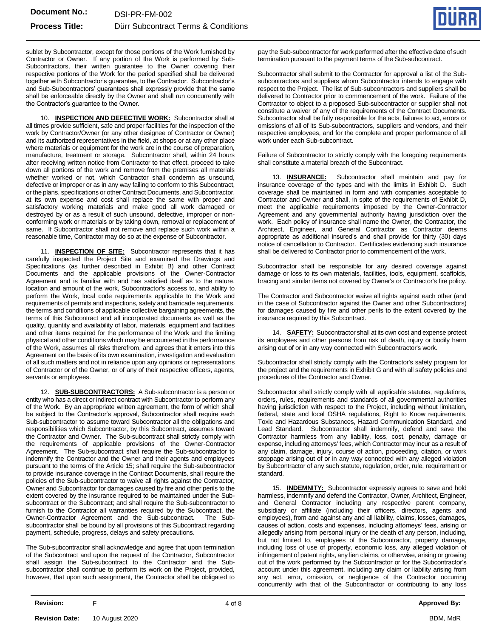

sublet by Subcontractor, except for those portions of the Work furnished by Contractor or Owner. If any portion of the Work is performed by Sub-Subcontractors, their written guarantee to the Owner covering their respective portions of the Work for the period specified shall be delivered together with Subcontractor's guarantee, to the Contractor. Subcontractor's and Sub-Subcontractors' guarantees shall expressly provide that the same shall be enforceable directly by the Owner and shall run concurrently with the Contractor's guarantee to the Owner.

10. **INSPECTION AND DEFECTIVE WORK:** Subcontractor shall at all times provide sufficient, safe and proper facilities for the inspection of the work by Contractor/Owner (or any other designee of Contractor or Owner) and its authorized representatives in the field, at shops or at any other place where materials or equipment for the work are in the course of preparation, manufacture, treatment or storage. Subcontractor shall, within 24 hours after receiving written notice from Contractor to that effect, proceed to take down all portions of the work and remove from the premises all materials whether worked or not, which Contractor shall condemn as unsound, defective or improper or as in any way failing to conform to this Subcontract, or the plans, specifications or other Contract Documents, and Subcontractor, at its own expense and cost shall replace the same with proper and satisfactory working materials and make good all work damaged or destroyed by or as a result of such unsound, defective, improper or nonconforming work or materials or by taking down, removal or replacement of same. If Subcontractor shall not remove and replace such work within a reasonable time, Contractor may do so at the expense of Subcontractor.

11. **INSPECTION OF SITE:** Subcontractor represents that it has carefully inspected the Project Site and examined the Drawings and Specifications (as further described in Exhibit B) and other Contract Documents and the applicable provisions of the Owner-Contractor Agreement and is familiar with and has satisfied itself as to the nature, location and amount of the work, Subcontractor's access to, and ability to perform the Work, local code requirements applicable to the Work and requirements of permits and inspections, safety and barricade requirements, the terms and conditions of applicable collective bargaining agreements, the terms of this Subcontract and all incorporated documents as well as the quality, quantity and availability of labor, materials, equipment and facilities and other items required for the performance of the Work and the limiting physical and other conditions which may be encountered in the performance of the Work, assumes all risks therefrom, and agrees that it enters into this Agreement on the basis of its own examination, investigation and evaluation of all such matters and not in reliance upon any opinions or representations of Contractor or of the Owner, or of any of their respective officers, agents, servants or employees.

12. **SUB-SUBCONTRACTORS:** A Sub-subcontractor is a person or entity who has a direct or indirect contract with Subcontractor to perform any of the Work. By an appropriate written agreement, the form of which shall be subject to the Contractor's approval, Subcontractor shall require each Sub-subcontractor to assume toward Subcontractor all the obligations and responsibilities which Subcontractor, by this Subcontract, assumes toward the Contractor and Owner. The Sub-subcontract shall strictly comply with the requirements of applicable provisions of the Owner-Contractor Agreement. The Sub-subcontract shall require the Sub-subcontractor to indemnify the Contractor and the Owner and their agents and employees pursuant to the terms of the Article 15; shall require the Sub-subcontractor to provide insurance coverage in the Contract Documents, shall require the policies of the Sub-subcontractor to waive all rights against the Contractor, Owner and Subcontractor for damages caused by fire and other perils to the extent covered by the insurance required to be maintained under the Subsubcontract or the Subcontract; and shall require the Sub-subcontractor to furnish to the Contractor all warranties required by the Subcontract, the Owner-Contractor Agreement and the Sub-subcontract. The Subsubcontractor shall be bound by all provisions of this Subcontract regarding payment, schedule, progress, delays and safety precautions.

The Sub-subcontractor shall acknowledge and agree that upon termination of the Subcontract and upon the request of the Contractor, Subcontractor shall assign the Sub-subcontract to the Contractor and the Subsubcontractor shall continue to perform its work on the Project, provided, however, that upon such assignment, the Contractor shall be obligated to pay the Sub-subcontractor for work performed after the effective date of such termination pursuant to the payment terms of the Sub-subcontract.

Subcontractor shall submit to the Contractor for approval a list of the Subsubcontractors and suppliers whom Subcontractor intends to engage with respect to the Project. The list of Sub-subcontractors and suppliers shall be delivered to Contractor prior to commencement of the work. Failure of the Contractor to object to a proposed Sub-subcontractor or supplier shall not constitute a waiver of any of the requirements of the Contract Documents. Subcontractor shall be fully responsible for the acts, failures to act, errors or omissions of all of its Sub-subcontractors, suppliers and vendors, and their respective employees, and for the complete and proper performance of all work under each Sub-subcontract.

Failure of Subcontractor to strictly comply with the foregoing requirements shall constitute a material breach of the Subcontract.

13. **INSURANCE:** Subcontractor shall maintain and pay for insurance coverage of the types and with the limits in Exhibit D. Such coverage shall be maintained in form and with companies acceptable to Contractor and Owner and shall, in spite of the requirements of Exhibit D, meet the applicable requirements imposed by the Owner-Contractor Agreement and any governmental authority having jurisdiction over the work. Each policy of insurance shall name the Owner, the Contractor, the Architect, Engineer, and General Contractor as Contractor deems appropriate as additional insured's and shall provide for thirty (30) days notice of cancellation to Contractor. Certificates evidencing such insurance shall be delivered to Contractor prior to commencement of the work.

Subcontractor shall be responsible for any desired coverage against damage or loss to its own materials, facilities, tools, equipment, scaffolds, bracing and similar items not covered by Owner's or Contractor's fire policy.

The Contractor and Subcontractor waive all rights against each other (and in the case of Subcontractor against the Owner and other Subcontractors) for damages caused by fire and other perils to the extent covered by the insurance required by this Subcontract.

14. **SAFETY:** Subcontractor shall at its own cost and expense protect its employees and other persons from risk of death, injury or bodily harm arising out of or in any way connected with Subcontractor's work.

Subcontractor shall strictly comply with the Contractor's safety program for the project and the requirements in Exhibit G and with all safety policies and procedures of the Contractor and Owner.

Subcontractor shall strictly comply with all applicable statutes, regulations, orders, rules, requirements and standards of all governmental authorities having jurisdiction with respect to the Project, including without limitation, federal, state and local OSHA regulations, Right to Know requirements, Toxic and Hazardous Substances, Hazard Communication Standard, and Lead Standard. Subcontractor shall indemnify, defend and save the Contractor harmless from any liability, loss, cost, penalty, damage or expense, including attorneys' fees, which Contractor may incur as a result of any claim, damage, injury, course of action, proceeding, citation, or work stoppage arising out of or in any way connected with any alleged violation by Subcontractor of any such statute, regulation, order, rule, requirement or standard.

15. **INDEMNITY:** Subcontractor expressly agrees to save and hold harmless, indemnify and defend the Contractor, Owner, Architect, Engineer, and General Contractor including any respective parent company, subsidiary or affiliate (including their officers, directors, agents and employees), from and against any and all liability, claims, losses, damages, causes of action, costs and expenses, including attorneys' fees, arising or allegedly arising from personal injury or the death of any person, including, but not limited to, employees of the Subcontractor, property damage, including loss of use of property, economic loss, any alleged violation of infringement of patent rights, any lien claims, or otherwise, arising or growing out of the work performed by the Subcontractor or for the Subcontractor's account under this agreement, including any claim or liability arising from any act, error, omission, or negligence of the Contractor occurring concurrently with that of the Subcontractor or contributing to any loss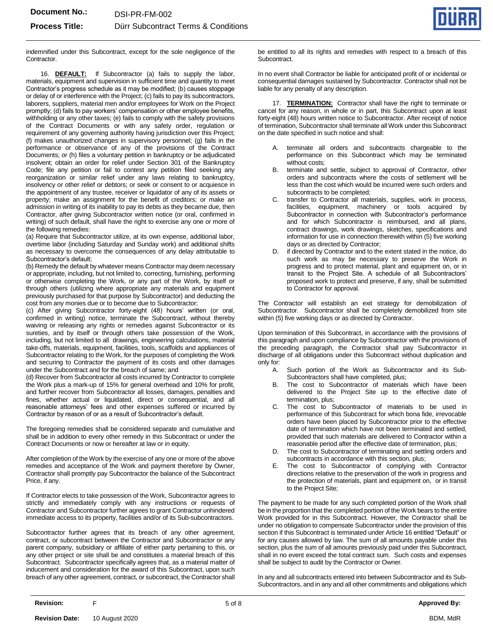

indemnified under this Subcontract, except for the sole negligence of the Contractor.

16. **DEFAULT:** If Subcontractor (a) fails to supply the labor, materials, equipment and supervision in sufficient time and quantity to meet Contractor's progress schedule as it may be modified; (b) causes stoppage or delay of or interference with the Project; (c) fails to pay its subcontractors, laborers, suppliers, material men and/or employees for Work on the Project promptly; (d) fails to pay workers' compensation or other employee benefits, withholding or any other taxes; (e) fails to comply with the safety provisions of the Contract Documents or with any safety order, regulation or requirement of any governing authority having jurisdiction over this Project; (f) makes unauthorized changes in supervisory personnel; (g) fails in the performance or observance of any of the provisions of the Contract Documents; or (h) files a voluntary petition in bankruptcy or be adjudicated insolvent; obtain an order for relief under Section 301 of the Bankruptcy Code; file any petition or fail to contest any petition filed seeking any reorganization or similar relief under any laws relating to bankruptcy, insolvency or other relief or debtors; or seek or consent to or acquiesce in the appointment of any trustee, receiver or liquidator of any of its assets or property; make an assignment for the benefit of creditors; or make an admission in writing of its inability to pay its debts as they became due, then Contractor, after giving Subcontractor written notice (or oral, confirmed in writing) of such default, shall have the right to exercise any one or more of the following remedies:

(a) Require that Subcontractor utilize, at its own expense, additional labor, overtime labor (including Saturday and Sunday work) and additional shifts as necessary to overcome the consequences of any delay attributable to Subcontractor's default;

(b) Remedy the default by whatever means Contractor may deem necessary or appropriate, including, but not limited to, correcting, furnishing, performing or otherwise completing the Work, or any part of the Work, by itself or through others (utilizing where appropriate any materials and equipment previously purchased for that purpose by Subcontractor) and deducting the cost from any monies due or to become due to Subcontractor;

(c) After giving Subcontractor forty-eight (48) hours' written (or oral, confirmed in writing) notice, terminate the Subcontract, without thereby waiving or releasing any rights or remedies against Subcontractor or its sureties, and by itself or through others take possession of the Work, including, but not limited to all drawings, engineering calculations, material take-offs, materials, equipment, facilities, tools, scaffolds and appliances of Subcontractor relating to the Work, for the purposes of completing the Work and securing to Contractor the payment of its costs and other damages under the Subcontract and for the breach of same; and

(d) Recover from Subcontractor all costs incurred by Contractor to complete the Work plus a mark-up of 15% for general overhead and 10% for profit, and further recover from Subcontractor all losses, damages, penalties and fines, whether actual or liquidated, direct or consequential, and all reasonable attorneys' fees and other expenses suffered or incurred by Contractor by reason of or as a result of Subcontractor's default.

The foregoing remedies shall be considered separate and cumulative and shall be in addition to every other remedy in this Subcontract or under the Contract Documents or now or hereafter at law or in equity.

After completion of the Work by the exercise of any one or more of the above remedies and acceptance of the Work and payment therefore by Owner, Contractor shall promptly pay Subcontractor the balance of the Subcontract Price, if any.

If Contractor elects to take possession of the Work, Subcontractor agrees to strictly and immediately comply with any instructions or requests of Contractor and Subcontractor further agrees to grant Contractor unhindered immediate access to its property, facilities and/or of its Sub-subcontractors.

Subcontractor further agrees that its breach of any other agreement, contract, or subcontract between the Contractor and Subcontractor or any parent company, subsidiary or affiliate of either party pertaining to this, or any other project or site shall be and constitutes a material breach of this Subcontract. Subcontractor specifically agrees that, as a material matter of inducement and consideration for the award of this Subcontract, upon such breach of any other agreement, contract, or subcontract, the Contractor shall be entitled to all its rights and remedies with respect to a breach of this Subcontract.

In no event shall Contractor be liable for anticipated profit of or incidental or consequential damages sustained by Subcontractor. Contractor shall not be liable for any penalty of any description.

17. **TERMINATION:** Contractor shall have the right to terminate or cancel for any reason, in whole or in part, this Subcontract upon at least forty-eight (48) hours written notice to Subcontractor. After receipt of notice of termination, Subcontractor shall terminate all Work under this Subcontract on the date specified in such notice and shall:

- A. terminate all orders and subcontracts chargeable to the performance on this Subcontract which may be terminated without costs;
- B. terminate and settle, subject to approval of Contractor, other orders and subcontracts where the costs of settlement will be less than the cost which would be incurred were such orders and subcontracts to be completed;
- C. transfer to Contractor all materials, supplies, work in process, facilities, equipment, machinery or tools acquired by Subcontractor in connection with Subcontractor's performance and for which Subcontractor is reimbursed, and all plans, contract drawings, work drawings, sketches, specifications and information for use in connection therewith within (5) five working days or as directed by Contractor;
- D. if directed by Contractor and to the extent stated in the notice, do such work as may be necessary to preserve the Work in progress and to protect material, plant and equipment on, or in transit to the Project Site. A schedule of all Subcontractors' proposed work to protect and preserve, if any, shall be submitted to Contractor for approval.

The Contractor will establish an exit strategy for demobilization of Subcontractor. Subcontractor shall be completely demobilized from site within (5) five working days or as directed by Contractor.

Upon termination of this Subcontract, in accordance with the provisions of this paragraph and upon compliance by Subcontractor with the provisions of the preceding paragraph, the Contractor shall pay Subcontractor in discharge of all obligations under this Subcontract without duplication and only for:

- A. Such portion of the Work as Subcontractor and its Sub-Subcontractors shall have completed, plus;
- B. The cost to Subcontractor of materials which have been delivered to the Project Site up to the effective date of termination, plus;
- C. The cost to Subcontractor of materials to be used in performance of this Subcontract for which bona fide, irrevocable orders have been placed by Subcontractor prior to the effective date of termination which have not been terminated and settled, provided that such materials are delivered to Contractor within a reasonable period after the effective date of termination, plus;
- D. The cost to Subcontractor of terminating and settling orders and subcontracts in accordance with this section, plus;
- E. The cost to Subcontractor of complying with Contractor directions relative to the preservation of the work in progress and the protection of materials, plant and equipment on, or in transit to the Project Site;

The payment to be made for any such completed portion of the Work shall be in the proportion that the completed portion of the Work bears to the entire Work provided for in this Subcontract. However, the Contractor shall be under no obligation to compensate Subcontractor under the provision of this section if this Subcontract is terminated under Article 16 entitled "Default" or for any causes allowed by law. The sum of all amounts payable under this section, plus the sum of all amounts previously paid under this Subcontract, shall in no event exceed the total contract sum. Such costs and expenses shall be subject to audit by the Contractor or Owner.

In any and all subcontracts entered into between Subcontractor and its Sub-Subcontractors, and in any and all other commitments and obligations which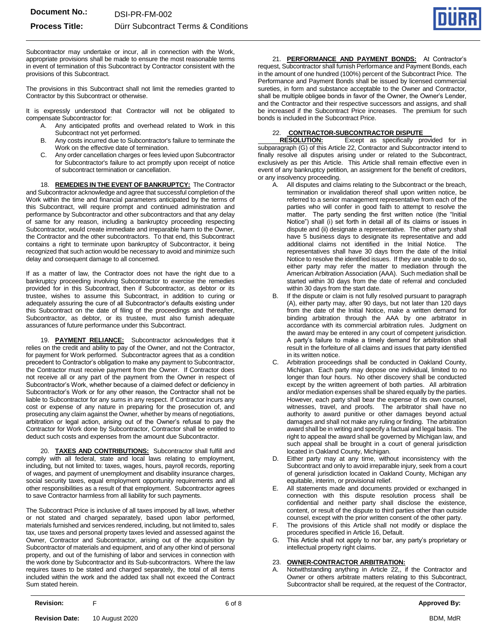

Subcontractor may undertake or incur, all in connection with the Work, appropriate provisions shall be made to ensure the most reasonable terms in event of termination of this Subcontract by Contractor consistent with the provisions of this Subcontract.

The provisions in this Subcontract shall not limit the remedies granted to Contractor by this Subcontract or otherwise.

It is expressly understood that Contractor will not be obligated to compensate Subcontractor for:

- A. Any anticipated profits and overhead related to Work in this Subcontract not yet performed.
- B. Any costs incurred due to Subcontractor's failure to terminate the Work on the effective date of termination.
- Any order cancellation charges or fees levied upon Subcontractor for Subcontractor's failure to act promptly upon receipt of notice of subcontract termination or cancellation.

18. **REMEDIES IN THE EVENT OF BANKRUPTCY:** The Contractor and Subcontractor acknowledge and agree that successful completion of the Work within the time and financial parameters anticipated by the terms of this Subcontract, will require prompt and continued administration and performance by Subcontractor and other subcontractors and that any delay of same for any reason, including a bankruptcy proceeding respecting Subcontractor, would create immediate and irreparable harm to the Owner, the Contractor and the other subcontractors. To that end, this Subcontract contains a right to terminate upon bankruptcy of Subcontractor, it being recognized that such action would be necessary to avoid and minimize such delay and consequent damage to all concerned.

If as a matter of law, the Contractor does not have the right due to a bankruptcy proceeding involving Subcontractor to exercise the remedies provided for in this Subcontract, then if Subcontractor, as debtor or its trustee, wishes to assume this Subcontract, in addition to curing or adequately assuring the cure of all Subcontractor's defaults existing under this Subcontract on the date of filing of the proceedings and thereafter, Subcontractor, as debtor, or its trustee, must also furnish adequate assurances of future performance under this Subcontract.

19. **PAYMENT RELIANCE:** Subcontractor acknowledges that it relies on the credit and ability to pay of the Owner, and not the Contractor, for payment for Work performed. Subcontractor agrees that as a condition precedent to Contractor's obligation to make any payment to Subcontractor, the Contractor must receive payment from the Owner. If Contractor does not receive all or any part of the payment from the Owner in respect of Subcontractor's Work, whether because of a claimed defect or deficiency in Subcontractor's Work or for any other reason, the Contractor shall not be liable to Subcontractor for any sums in any respect. If Contractor incurs any cost or expense of any nature in preparing for the prosecution of, and prosecuting any claim against the Owner, whether by means of negotiations, arbitration or legal action, arising out of the Owner's refusal to pay the Contractor for Work done by Subcontractor, Contractor shall be entitled to deduct such costs and expenses from the amount due Subcontractor.

20. **TAXES AND CONTRIBUTIONS:** Subcontractor shall fulfill and comply with all federal, state and local laws relating to employment, including, but not limited to: taxes, wages, hours, payroll records, reporting of wages, and payment of unemployment and disability insurance charges, social security taxes, equal employment opportunity requirements and all other responsibilities as a result of that employment. Subcontractor agrees to save Contractor harmless from all liability for such payments.

The Subcontract Price is inclusive of all taxes imposed by all laws, whether or not stated and charged separately, based upon labor performed, materials furnished and services rendered, including, but not limited to, sales tax, use taxes and personal property taxes levied and assessed against the Owner, Contractor and Subcontractor, arising out of the acquisition by Subcontractor of materials and equipment, and of any other kind of personal property, and out of the furnishing of labor and services in connection with the work done by Subcontractor and its Sub-subcontractors. Where the law requires taxes to be stated and charged separately, the total of all items included within the work and the added tax shall not exceed the Contract Sum stated herein.

21. **PERFORMANCE AND PAYMENT BONDS:** At Contractor's request, Subcontractor shall furnish Performance and Payment Bonds, each in the amount of one hundred (100%) percent of the Subcontract Price. The Performance and Payment Bonds shall be issued by licensed commercial sureties, in form and substance acceptable to the Owner and Contractor, shall be multiple obligee bonds in favor of the Owner, the Owner's Lender, and the Contractor and their respective successors and assigns, and shall be increased if the Subcontract Price increases. The premium for such bonds is included in the Subcontract Price.

## 22. **CONTRACTOR-SUBCONTRACTOR DISPUTE**

Except as specifically provided for in subparagraph (G) of this Article 22, Contractor and Subcontractor intend to finally resolve all disputes arising under or related to the Subcontract, exclusively as per this Article. This Article shall remain effective even in event of any bankruptcy petition, an assignment for the benefit of creditors, or any insolvency proceeding.

- A. All disputes and claims relating to the Subcontract or the breach, termination or invalidation thereof shall upon written notice, be referred to a senior management representative from each of the parties who will confer in good faith to attempt to resolve the matter. The party sending the first written notice (the "Initial Notice") shall (i) set forth in detail all of its claims or issues in dispute and (ii) designate a representative. The other party shall have 5 business days to designate its representative and add additional claims not identified in the Initial Notice. The representatives shall have 30 days from the date of the Initial Notice to resolve the identified issues. If they are unable to do so, either party may refer the matter to mediation through the American Arbitration Association (AAA). Such mediation shall be started within 30 days from the date of referral and concluded within 30 days from the start date.
- B. If the dispute or claim is not fully resolved pursuant to paragraph (A), either party may, after 90 days, but not later than 120 days from the date of the Initial Notice, make a written demand for binding arbitration through the AAA by one arbitrator in accordance with its commercial arbitration rules. Judgment on the award may be entered in any court of competent jurisdiction. A party's failure to make a timely demand for arbitration shall result in the forfeiture of all claims and issues that party identified in its written notice.
- C. Arbitration proceedings shall be conducted in Oakland County, Michigan. Each party may depose one individual, limited to no longer than four hours. No other discovery shall be conducted except by the written agreement of both parties. All arbitration and/or mediation expenses shall be shared equally by the parties. However, each party shall bear the expense of its own counsel, witnesses, travel, and proofs. The arbitrator shall have no authority to award punitive or other damages beyond actual damages and shall not make any ruling or finding. The arbitration award shall be in writing and specify a factual and legal basis. The right to appeal the award shall be governed by Michigan law, and such appeal shall be brought in a court of general jurisdiction located in Oakland County, Michigan.
- Either party may at any time, without inconsistency with the Subcontract and only to avoid irreparable injury, seek from a court of general jurisdiction located in Oakland County, Michigan any equitable, interim, or provisional relief.
- E. All statements made and documents provided or exchanged in connection with this dispute resolution process shall be confidential and neither party shall disclose the existence, content, or result of the dispute to third parties other than outside counsel, except with the prior written consent of the other party.
- F. The provisions of this Article shall not modify or displace the procedures specified in Article 16, Default.
- G. This Article shall not apply to nor bar, any party's proprietary or intellectual property right claims.

## 23. **OWNER-CONTRACTOR ARBITRATION:**

A. Notwithstanding anything in Article 22,, if the Contractor and Owner or others arbitrate matters relating to this Subcontract, Subcontractor shall be required, at the request of the Contractor,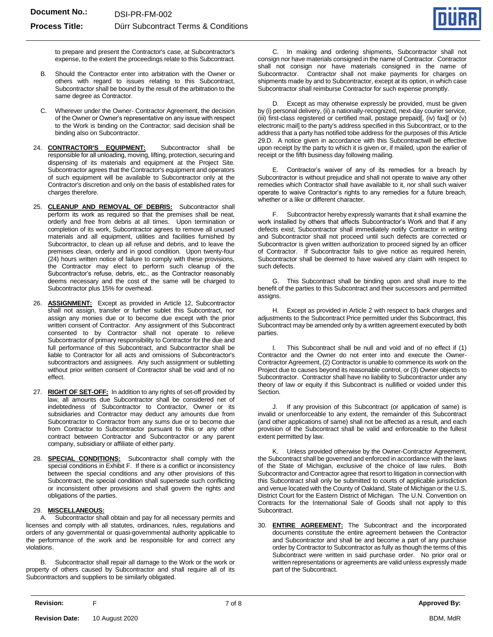

to prepare and present the Contractor's case, at Subcontractor's expense, to the extent the proceedings relate to this Subcontract.

- B. Should the Contractor enter into arbitration with the Owner or others with regard to issues relating to this Subcontract, Subcontractor shall be bound by the result of the arbitration to the same degree as Contractor.
- C. Wherever under the Owner- Contractor Agreement, the decision of the Owner or Owner's representative on any issue with respect to the Work is binding on the Contractor; said decision shall be binding also on Subcontractor.
- 24. **CONTRACTOR'S EQUIPMENT:** Subcontractor shall be responsible for all unloading, moving, lifting, protection, securing and dispensing of its materials and equipment at the Project Site. Subcontractor agrees that the Contractor's equipment and operators of such equipment will be available to Subcontractor only at the Contractor's discretion and only on the basis of established rates for charges therefore.
- 25. **CLEANUP AND REMOVAL OF DEBRIS:** Subcontractor shall perform its work as required so that the premises shall be neat, orderly and free from debris at all times. Upon termination or completion of its work, Subcontractor agrees to remove all unused materials and all equipment, utilities and facilities furnished by Subcontractor, to clean up all refuse and debris, and to leave the premises clean, orderly and in good condition. Upon twenty-four (24) hours written notice of failure to comply with these provisions, the Contractor may elect to perform such cleanup of the Subcontractor's refuse, debris, etc., as the Contractor reasonably deems necessary and the cost of the same will be charged to Subcontractor plus 15% for overhead.
- 26. **ASSIGNMENT:** Except as provided in Article 12, Subcontractor shall not assign, transfer or further sublet this Subcontract, nor assign any monies due or to become due except with the prior written consent of Contractor. Any assignment of this Subcontract consented to by Contractor shall not operate to relieve Subcontractor of primary responsibility to Contractor for the due and full performance of this Subcontract, and Subcontractor shall be liable to Contractor for all acts and omissions of Subcontractor's subcontractors and assignees. Any such assignment or subletting without prior written consent of Contractor shall be void and of no effect.
- 27. **RIGHT OF SET-OFF:** In addition to any rights of set-off provided by law, all amounts due Subcontractor shall be considered net of indebtedness of Subcontractor to Contractor, Owner or its subsidiaries and Contractor may deduct any amounts due from Subcontractor to Contractor from any sums due or to become due from Contractor to Subcontractor pursuant to this or any other contract between Contractor and Subcontractor or any parent company, subsidiary or affiliate of either party.
- 28. **SPECIAL CONDITIONS:** Subcontractor shall comply with the special conditions in Exhibit F. If there is a conflict or inconsistency between the special conditions and any other provisions of this Subcontract, the special condition shall supersede such conflicting or inconsistent other provisions and shall govern the rights and obligations of the parties.

## 29. **MISCELLANEOUS:**

A. Subcontractor shall obtain and pay for all necessary permits and licenses and comply with all statutes, ordinances, rules, regulations and orders of any governmental or quasi-governmental authority applicable to the performance of the work and be responsible for and correct any violations.

B. Subcontractor shall repair all damage to the Work or the work or property of others caused by Subcontractor and shall require all of its Subcontractors and suppliers to be similarly obligated.

C. In making and ordering shipments, Subcontractor shall not consign nor have materials consigned in the name of Contractor. Contractor shall not consign nor have materials consigned in the name of Subcontractor. Contractor shall not make payments for charges on shipments made by and to Subcontractor, except at its option, in which case Subcontractor shall reimburse Contractor for such expense promptly.

D. Except as may otherwise expressly be provided, must be given by (i) personal delivery, (ii) a nationally-recognized, next-day courier service, (iii) first-class registered or certified mail, postage prepaid[, (iv) fax][ or (v) electronic mail] to the party's address specified in this Subcontract, or to the address that a party has notified tobe address for the purposes of this Article 29.D. A notice given in accordance with this Subcontractwill be effective upon receipt by the party to which it is given or, if mailed, upon the earlier of receipt or the fifth business day following mailing.

E. Contractor's waiver of any of its remedies for a breach by Subcontractor is without prejudice and shall not operate to waive any other remedies which Contractor shall have available to it, nor shall such waiver operate to waive Contractor's rights to any remedies for a future breach, whether or a like or different character.

F. Subcontractor hereby expressly warrants that it shall examine the work installed by others that affects Subcontractor's Work and that if any defects exist, Subcontractor shall immediately notify Contractor in writing and Subcontractor shall not proceed until such defects are corrected or Subcontractor is given written authorization to proceed signed by an officer of Contractor. If Subcontractor fails to give notice as required herein, Subcontractor shall be deemed to have waived any claim with respect to such defects.

G. This Subcontract shall be binding upon and shall inure to the benefit of the parties to this Subcontract and their successors and permitted assigns

H. Except as provided in Article 2 with respect to back charges and adjustments to the Subcontract Price permitted under this Subcontract, this Subcontract may be amended only by a written agreement executed by both parties.

I. This Subcontract shall be null and void and of no effect if (1) Contractor and the Owner do not enter into and execute the Owner-Contractor Agreement, (2) Contractor is unable to commence its work on the Project due to causes beyond its reasonable control, or (3) Owner objects to Subcontractor. Contractor shall have no liability to Subcontractor under any theory of law or equity if this Subcontract is nullified or voided under this Section.

If any provision of this Subcontract (or application of same) is invalid or unenforceable to any extent, the remainder of this Subcontract (and other applications of same) shall not be affected as a result, and each provision of the Subcontract shall be valid and enforceable to the fullest extent permitted by law.

K. Unless provided otherwise by the Owner-Contractor Agreement, the Subcontract shall be governed and enforced in accordance with the laws of the State of Michigan, exclusive of the choice of law rules. Both Subcontractor and Contractor agree that resort to litigation in connection with this Subcontract shall only be submitted to courts of applicable jurisdiction and venue located with the County of Oakland, State of Michigan or the U.S. District Court for the Eastern District of Michigan. The U.N. Convention on Contracts for the International Sale of Goods shall not apply to this Subcontract.

30. **ENTIRE AGREEMENT:** The Subcontract and the incorporated documents constitute the entire agreement between the Contractor and Subcontractor and shall be and become a part of any purchase order by Contractor to Subcontractor as fully as though the terms of this Subcontract were written in said purchase order. No prior oral or written representations or agreements are valid unless expressly made part of the Subcontract.